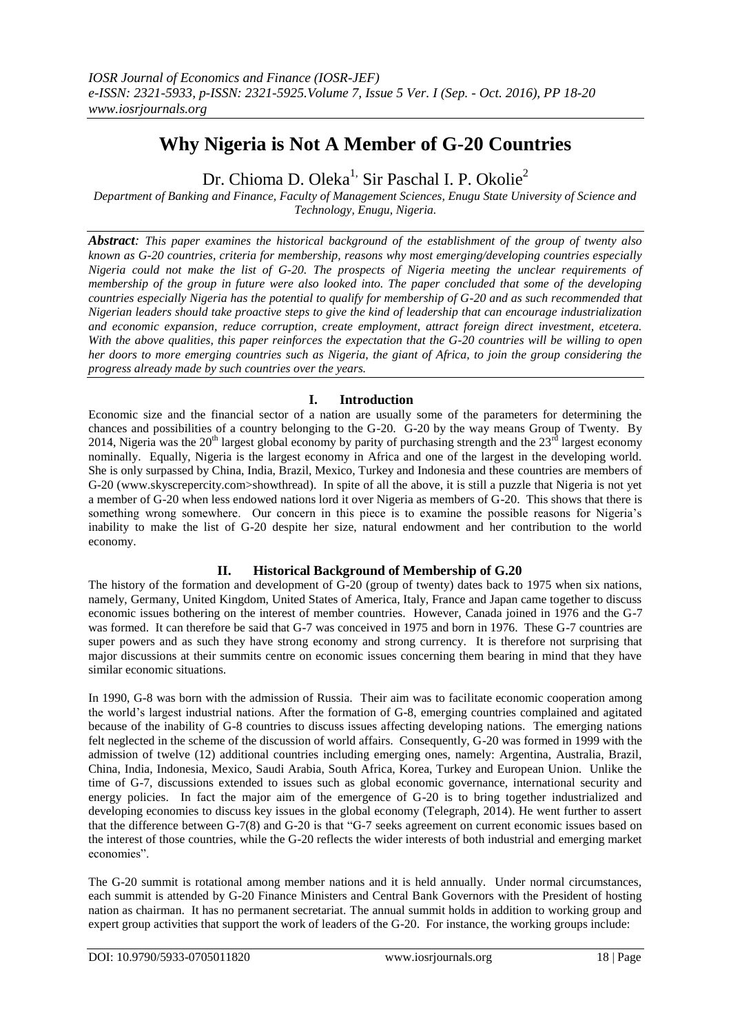# **Why Nigeria is Not A Member of G-20 Countries**

Dr. Chioma D. Oleka<sup>1,</sup> Sir Paschal I. P. Okolie<sup>2</sup>

*Department of Banking and Finance, Faculty of Management Sciences, Enugu State University of Science and Technology, Enugu, Nigeria.*

*Abstract: This paper examines the historical background of the establishment of the group of twenty also known as G-20 countries, criteria for membership, reasons why most emerging/developing countries especially Nigeria could not make the list of G-20. The prospects of Nigeria meeting the unclear requirements of membership of the group in future were also looked into. The paper concluded that some of the developing countries especially Nigeria has the potential to qualify for membership of G-20 and as such recommended that Nigerian leaders should take proactive steps to give the kind of leadership that can encourage industrialization and economic expansion, reduce corruption, create employment, attract foreign direct investment, etcetera. With the above qualities, this paper reinforces the expectation that the G-20 countries will be willing to open her doors to more emerging countries such as Nigeria, the giant of Africa, to join the group considering the progress already made by such countries over the years.*

### **I. Introduction**

Economic size and the financial sector of a nation are usually some of the parameters for determining the chances and possibilities of a country belonging to the G-20. G-20 by the way means Group of Twenty. By 2014, Nigeria was the  $20<sup>th</sup>$  largest global economy by parity of purchasing strength and the  $23<sup>rd</sup>$  largest economy nominally. Equally, Nigeria is the largest economy in Africa and one of the largest in the developing world. She is only surpassed by China, India, Brazil, Mexico, Turkey and Indonesia and these countries are members of G-20 (www.skyscrepercity.com>showthread). In spite of all the above, it is still a puzzle that Nigeria is not yet a member of G-20 when less endowed nations lord it over Nigeria as members of G-20. This shows that there is something wrong somewhere. Our concern in this piece is to examine the possible reasons for Nigeria's inability to make the list of G-20 despite her size, natural endowment and her contribution to the world economy.

# **II. Historical Background of Membership of G.20**

The history of the formation and development of G-20 (group of twenty) dates back to 1975 when six nations, namely, Germany, United Kingdom, United States of America, Italy, France and Japan came together to discuss economic issues bothering on the interest of member countries. However, Canada joined in 1976 and the G-7 was formed. It can therefore be said that G-7 was conceived in 1975 and born in 1976. These G-7 countries are super powers and as such they have strong economy and strong currency. It is therefore not surprising that major discussions at their summits centre on economic issues concerning them bearing in mind that they have similar economic situations.

In 1990, G-8 was born with the admission of Russia. Their aim was to facilitate economic cooperation among the world's largest industrial nations. After the formation of G-8, emerging countries complained and agitated because of the inability of G-8 countries to discuss issues affecting developing nations. The emerging nations felt neglected in the scheme of the discussion of world affairs. Consequently, G-20 was formed in 1999 with the admission of twelve (12) additional countries including emerging ones, namely: Argentina, Australia, Brazil, China, India, Indonesia, Mexico, Saudi Arabia, South Africa, Korea, Turkey and European Union. Unlike the time of G-7, discussions extended to issues such as global economic governance, international security and energy policies. In fact the major aim of the emergence of G-20 is to bring together industrialized and developing economies to discuss key issues in the global economy (Telegraph, 2014). He went further to assert that the difference between G-7(8) and G-20 is that "G-7 seeks agreement on current economic issues based on the interest of those countries, while the G-20 reflects the wider interests of both industrial and emerging market economies".

The G-20 summit is rotational among member nations and it is held annually. Under normal circumstances, each summit is attended by G-20 Finance Ministers and Central Bank Governors with the President of hosting nation as chairman. It has no permanent secretariat. The annual summit holds in addition to working group and expert group activities that support the work of leaders of the G-20. For instance, the working groups include: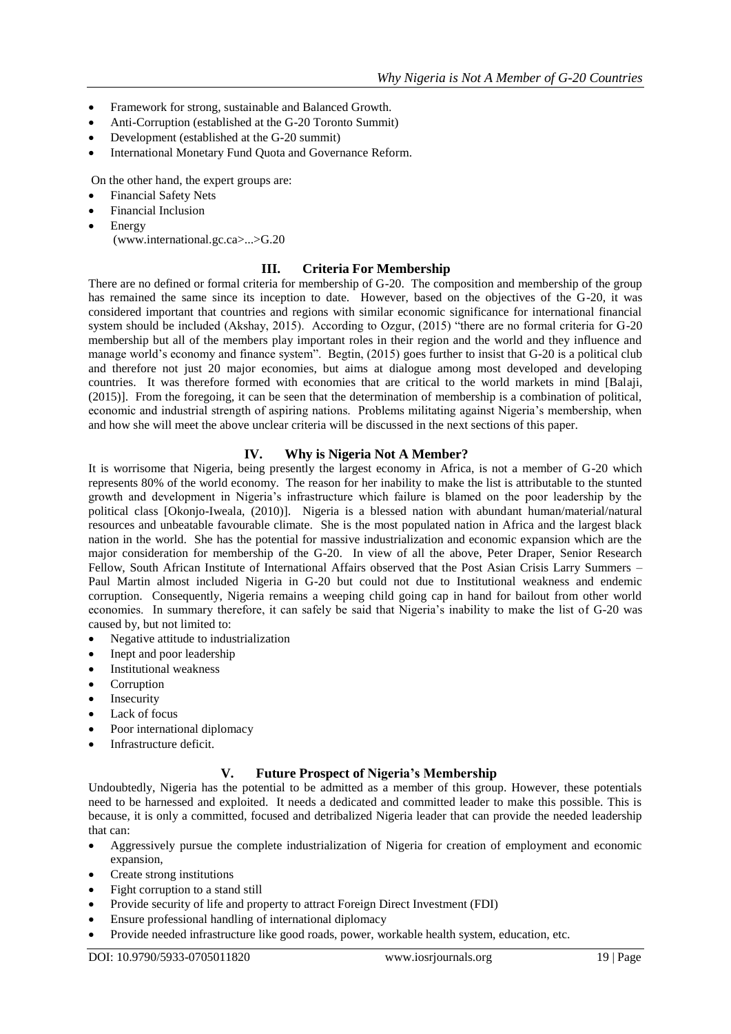- Framework for strong, sustainable and Balanced Growth.
- Anti-Corruption (established at the G-20 Toronto Summit)
- Development (established at the G-20 summit)
- International Monetary Fund Quota and Governance Reform.

On the other hand, the expert groups are:

- Financial Safety Nets
- Financial Inclusion
- Energy (www.international.gc.ca>...>G.20

#### **III. Criteria For Membership**

There are no defined or formal criteria for membership of G-20. The composition and membership of the group has remained the same since its inception to date. However, based on the objectives of the G-20, it was considered important that countries and regions with similar economic significance for international financial system should be included (Akshay, 2015). According to Ozgur, (2015) "there are no formal criteria for G-20 membership but all of the members play important roles in their region and the world and they influence and manage world's economy and finance system". Begtin, (2015) goes further to insist that G-20 is a political club and therefore not just 20 major economies, but aims at dialogue among most developed and developing countries. It was therefore formed with economies that are critical to the world markets in mind [Balaji, (2015)]. From the foregoing, it can be seen that the determination of membership is a combination of political, economic and industrial strength of aspiring nations. Problems militating against Nigeria's membership, when and how she will meet the above unclear criteria will be discussed in the next sections of this paper.

### **IV. Why is Nigeria Not A Member?**

It is worrisome that Nigeria, being presently the largest economy in Africa, is not a member of G-20 which represents 80% of the world economy. The reason for her inability to make the list is attributable to the stunted growth and development in Nigeria's infrastructure which failure is blamed on the poor leadership by the political class [Okonjo-Iweala, (2010)]. Nigeria is a blessed nation with abundant human/material/natural resources and unbeatable favourable climate. She is the most populated nation in Africa and the largest black nation in the world. She has the potential for massive industrialization and economic expansion which are the major consideration for membership of the G-20. In view of all the above, Peter Draper, Senior Research Fellow, South African Institute of International Affairs observed that the Post Asian Crisis Larry Summers – Paul Martin almost included Nigeria in G-20 but could not due to Institutional weakness and endemic corruption. Consequently, Nigeria remains a weeping child going cap in hand for bailout from other world economies. In summary therefore, it can safely be said that Nigeria's inability to make the list of G-20 was caused by, but not limited to:

- Negative attitude to industrialization
- Inept and poor leadership
- Institutional weakness
- Corruption
- Insecurity
- Lack of focus
- Poor international diplomacy
- Infrastructure deficit.

# **V. Future Prospect of Nigeria's Membership**

Undoubtedly, Nigeria has the potential to be admitted as a member of this group. However, these potentials need to be harnessed and exploited. It needs a dedicated and committed leader to make this possible. This is because, it is only a committed, focused and detribalized Nigeria leader that can provide the needed leadership that can:

- Aggressively pursue the complete industrialization of Nigeria for creation of employment and economic expansion,
- Create strong institutions
- Fight corruption to a stand still
- Provide security of life and property to attract Foreign Direct Investment (FDI)
- Ensure professional handling of international diplomacy
- Provide needed infrastructure like good roads, power, workable health system, education, etc.